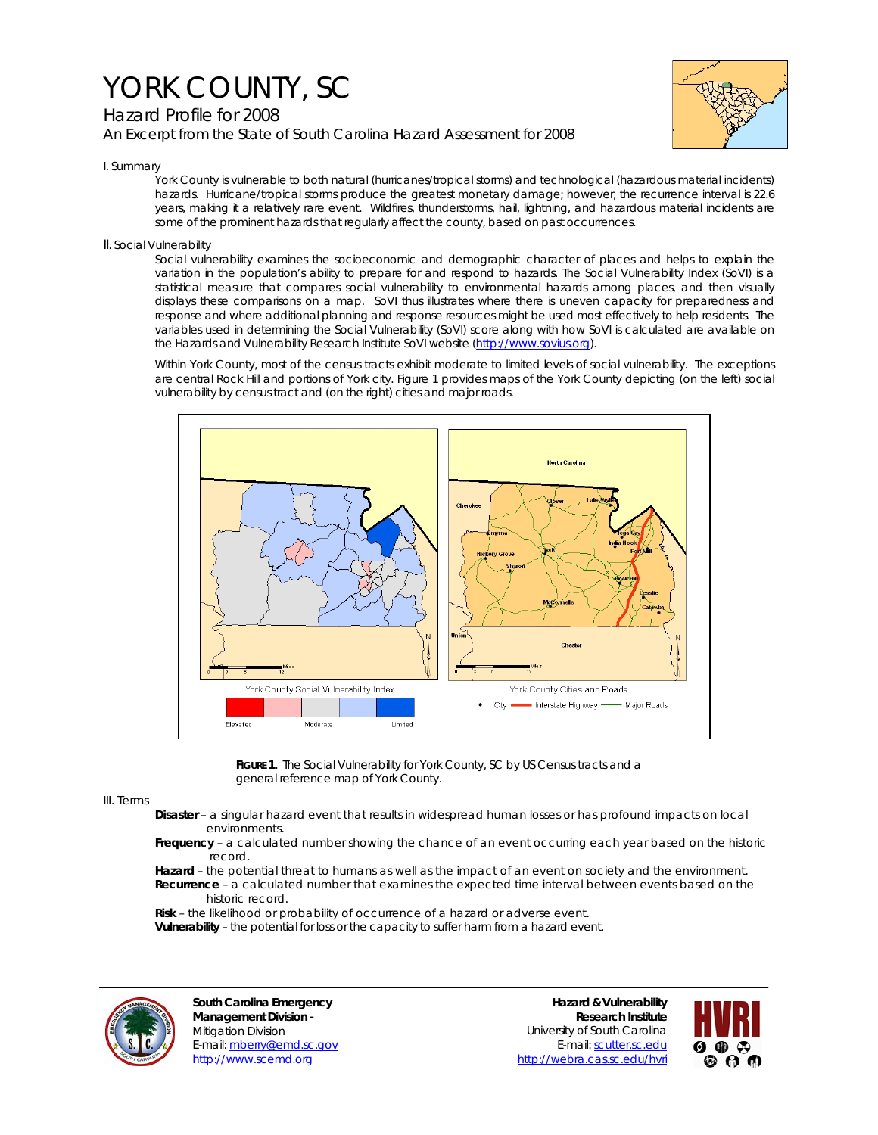# YORK COUNTY, SC

## Hazard Profile for 2008 *An Excerpt from the State of South Carolina Hazard Assessment for 2008*



#### I. Summary

York County is vulnerable to both natural (hurricanes/tropical storms) and technological (hazardous material incidents) hazards. Hurricane/tropical storms produce the greatest monetary damage; however, the recurrence interval is 22.6 years, making it a relatively rare event. Wildfires, thunderstorms, hail, lightning, and hazardous material incidents are some of the prominent hazards that regularly affect the county, based on past occurrences.

### II. Social Vulnerability

Social vulnerability examines the socioeconomic and demographic character of places and helps to explain the variation in the population's ability to prepare for and respond to hazards. The Social Vulnerability Index (SoVI) is a statistical measure that compares social vulnerability to environmental hazards among places, and then visually displays these comparisons on a map. SoVI thus illustrates where there is uneven capacity for preparedness and response and where additional planning and response resources might be used most effectively to help residents. The variables used in determining the Social Vulnerability (SoVI) score along with how SoVI is calculated are available on the Hazards and Vulnerability Research Institute SoVI website (http://www.sovius.org).

Within York County, most of the census tracts exhibit moderate to limited levels of social vulnerability. The exceptions are central Rock Hill and portions of York city. Figure 1 provides maps of the York County depicting (on the left) social vulnerability by census tract and (on the right) cities and major roads.



FIGURE 1. The Social Vulnerability for York County, SC by US Census tracts and a general reference map of York County.

#### III. Terms

- **Disaster** a singular hazard event that results in widespread human losses or has profound impacts on local environments.
- **Frequency** a calculated number showing the chance of an event occurring each year based on the historic record.
- **Hazard** the potential threat to humans as well as the impact of an event on society and the environment.  **Recurrence** – a calculated number that examines the expected time interval between events based on the historic record.

 **Risk** – the likelihood or probability of occurrence of a hazard or adverse event.

 **Vulnerability** – the potential for loss or the capacity to suffer harm from a hazard event.



**South Carolina Emergency Management Division -**  Mitigation Division E-mail: mberry@emd.sc.gov http://www.scemd.org

**Hazard & Vulnerability Research Institute**  University of South Carolina E-mail: scutter.sc.edu http://webra.cas.sc.edu/hvri

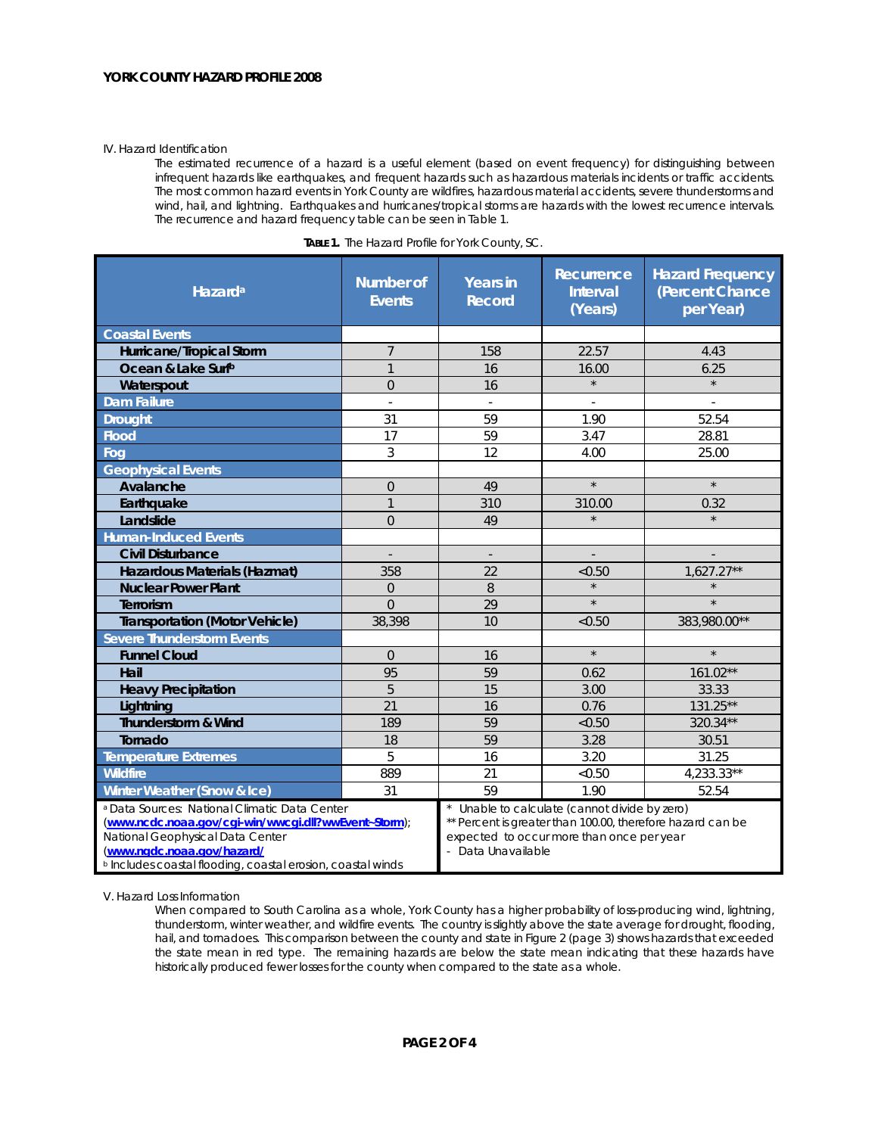#### IV. Hazard Identification

The estimated recurrence of a hazard is a useful element (based on event frequency) for distinguishing between infrequent hazards like earthquakes, and frequent hazards such as hazardous materials incidents or traffic accidents. The most common hazard events in York County are wildfires, hazardous material accidents, severe thunderstorms and wind, hail, and lightning. Earthquakes and hurricanes/tropical storms are hazards with the lowest recurrence intervals. The recurrence and hazard frequency table can be seen in Table 1.

| Hazard <sup>a</sup>                                                                                                                                                                                                                                          | <b>Number of</b><br><b>Events</b> | <b>Years in</b><br><b>Record</b>                                                                                                                                             | Recurrence<br><b>Interval</b><br>(Years) | <b>Hazard Frequency</b><br>(Percent Chance<br>per Year) |  |
|--------------------------------------------------------------------------------------------------------------------------------------------------------------------------------------------------------------------------------------------------------------|-----------------------------------|------------------------------------------------------------------------------------------------------------------------------------------------------------------------------|------------------------------------------|---------------------------------------------------------|--|
| <b>Coastal Events</b>                                                                                                                                                                                                                                        |                                   |                                                                                                                                                                              |                                          |                                                         |  |
| Hurricane/Tropical Storm                                                                                                                                                                                                                                     | $\overline{7}$                    | 158                                                                                                                                                                          | 22.57                                    | 4.43                                                    |  |
| Ocean & Lake Surfb                                                                                                                                                                                                                                           | $\overline{1}$                    | 16                                                                                                                                                                           | 16.00                                    | 6.25                                                    |  |
| Waterspout                                                                                                                                                                                                                                                   | $\Omega$                          | 16                                                                                                                                                                           | $\star$                                  | $\star$                                                 |  |
| <b>Dam Failure</b>                                                                                                                                                                                                                                           | $\sim$                            | ÷.                                                                                                                                                                           |                                          |                                                         |  |
| <b>Drought</b>                                                                                                                                                                                                                                               | 31                                | 59                                                                                                                                                                           | 1.90                                     | 52.54                                                   |  |
| <b>Flood</b>                                                                                                                                                                                                                                                 | 17                                | 59                                                                                                                                                                           | 3.47                                     | 28.81                                                   |  |
| Fog                                                                                                                                                                                                                                                          | 3                                 | 12                                                                                                                                                                           | 4.00                                     | 25.00                                                   |  |
| <b>Geophysical Events</b>                                                                                                                                                                                                                                    |                                   |                                                                                                                                                                              |                                          |                                                         |  |
| Avalanche                                                                                                                                                                                                                                                    | $\mathbf 0$                       | 49                                                                                                                                                                           | $\star$                                  | $\star$                                                 |  |
| Earthquake                                                                                                                                                                                                                                                   | $\overline{1}$                    | 310                                                                                                                                                                          | 310.00                                   | 0.32                                                    |  |
| Landslide                                                                                                                                                                                                                                                    | $\Omega$                          | 49                                                                                                                                                                           | $\star$                                  |                                                         |  |
| <b>Human-Induced Events</b>                                                                                                                                                                                                                                  |                                   |                                                                                                                                                                              |                                          |                                                         |  |
| <b>Civil Disturbance</b>                                                                                                                                                                                                                                     | $\overline{\phantom{a}}$          | $\overline{\phantom{a}}$                                                                                                                                                     | $\overline{\phantom{a}}$                 |                                                         |  |
| Hazardous Materials (Hazmat)                                                                                                                                                                                                                                 | 358                               | 22                                                                                                                                                                           | < 0.50                                   | $1,627.27**$                                            |  |
| <b>Nuclear Power Plant</b>                                                                                                                                                                                                                                   | $\overline{0}$                    | 8                                                                                                                                                                            |                                          |                                                         |  |
| <b>Terrorism</b>                                                                                                                                                                                                                                             | $\Omega$                          | 29                                                                                                                                                                           | $\star$                                  |                                                         |  |
| <b>Transportation (Motor Vehicle)</b>                                                                                                                                                                                                                        | 38,398                            | 10                                                                                                                                                                           | < 0.50                                   | 383,980.00**                                            |  |
| <b>Severe Thunderstorm Events</b>                                                                                                                                                                                                                            |                                   |                                                                                                                                                                              |                                          |                                                         |  |
| <b>Funnel Cloud</b>                                                                                                                                                                                                                                          | $\Omega$                          | 16                                                                                                                                                                           | $\star$                                  | $\star$                                                 |  |
| Hail                                                                                                                                                                                                                                                         | 95                                | 59                                                                                                                                                                           | 0.62                                     | 161.02**                                                |  |
| <b>Heavy Precipitation</b>                                                                                                                                                                                                                                   | 5                                 | 15                                                                                                                                                                           | 3.00                                     | 33.33                                                   |  |
| Lightning                                                                                                                                                                                                                                                    | 21                                | 16                                                                                                                                                                           | 0.76                                     | 131.25**                                                |  |
| Thunderstorm & Wind                                                                                                                                                                                                                                          | 189                               | 59                                                                                                                                                                           | < 0.50                                   | 320.34**                                                |  |
| Tornado                                                                                                                                                                                                                                                      | 18                                | 59                                                                                                                                                                           | 3.28                                     | 30.51                                                   |  |
| <b>Temperature Extremes</b>                                                                                                                                                                                                                                  | 5                                 | 16                                                                                                                                                                           | 3.20                                     | 31.25                                                   |  |
| <b>Wildfire</b>                                                                                                                                                                                                                                              | 889                               | 21                                                                                                                                                                           | < 0.50                                   | $4,233.33**$                                            |  |
| Winter Weather (Snow & Ice)                                                                                                                                                                                                                                  | 31                                | 59                                                                                                                                                                           | 1.90                                     | 52.54                                                   |  |
| <sup>a</sup> Data Sources: National Climatic Data Center<br>(www.ncdc.noaa.gov/cgi-win/wwcgi.dll?wwEvent~Storm);<br>National Geophysical Data Center<br>(www.ngdc.noaa.gov/hazard/<br><sup>b</sup> Includes coastal flooding, coastal erosion, coastal winds |                                   | Unable to calculate (cannot divide by zero)<br>** Percent is greater than 100.00, therefore hazard can be<br>expected to occur more than once per year<br>- Data Unavailable |                                          |                                                         |  |

| <b>TABLE 1.</b> The Hazard Profile for York County, SC. |  |  |
|---------------------------------------------------------|--|--|
|                                                         |  |  |

V. Hazard Loss Information

When compared to South Carolina as a whole, York County has a higher probability of loss-producing wind, lightning, thunderstorm, winter weather, and wildfire events. The country is slightly above the state average for drought, flooding, hail, and tornadoes. This comparison between the county and state in Figure 2 (page 3) shows hazards that exceeded the state mean in red type. The remaining hazards are below the state mean indicating that these hazards have historically produced fewer losses for the county when compared to the state as a whole.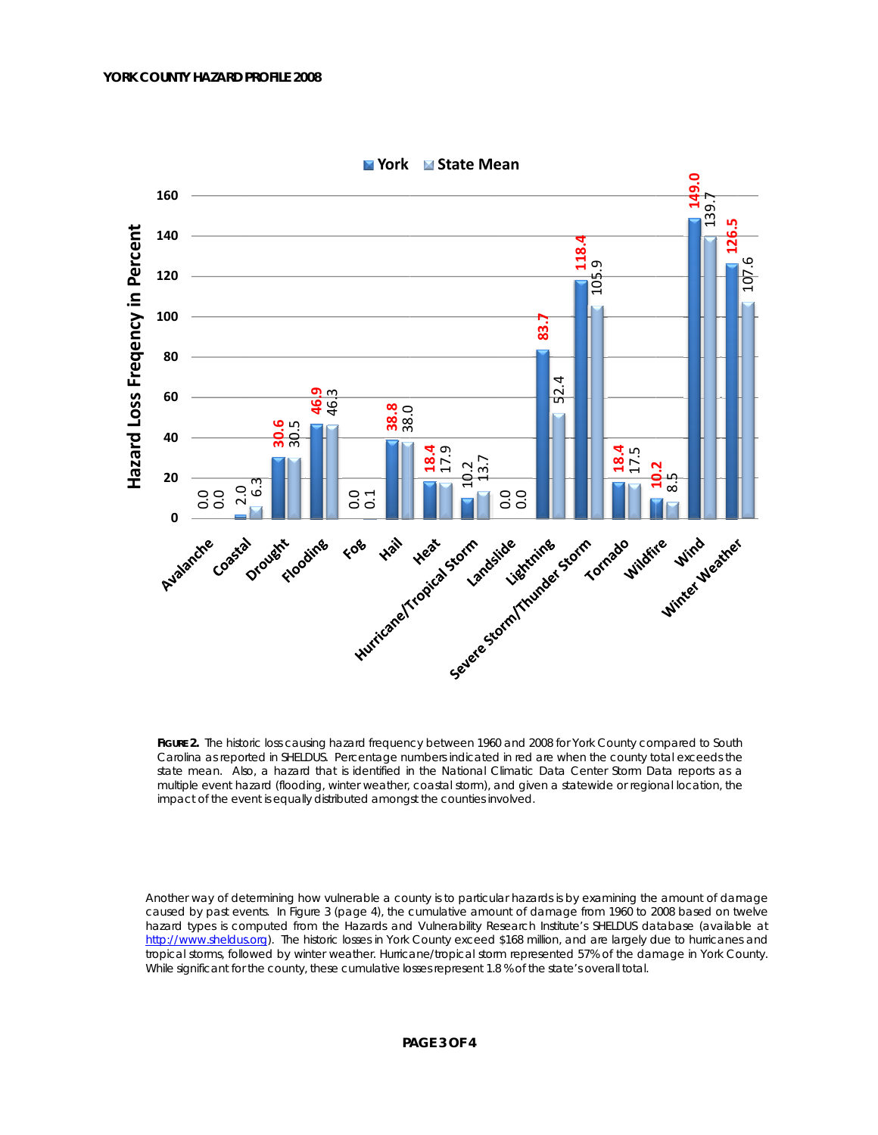

**M** York **M** State Mean

FIGURE 2. The historic loss causing hazard frequency between 1960 and 2008 for York County compared to South Carolina as reported in SHELDUS. Percentage numbers indicated in red are when the county total exceeds the state mean. Also, a hazard that is identified in the National Climatic Data Center Storm Data reports as a multiple event hazard (flooding, winter weather, coastal storm), and given a statewide or regional location, the impact of the event is equally distributed amongst the counties involved.

Another way of determining how vulnerable a county is to particular hazards is by examining the amount of damage caused by past events. In Figure 3 (page 4), the cumulative amount of damage from 1960 to 2008 based on twelve hazard types is computed from the Hazards and Vulnerability Research Institute's SHELDUS database (available at http://www.sheldus.org). The historic losses in York County exceed \$168 million, and are largely due to hurricanes and tropical storms, followed by winter weather. Hurricane/tropical storm represented 57% of the damage in York County. While significant for the county, these cumulative losses represent 1.8 % of the state's overall total.